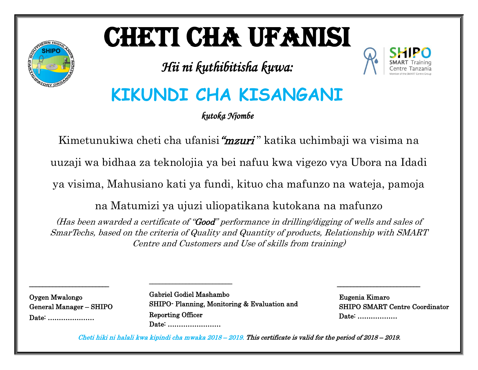# CHETI CHA UFANISI

*Hii ni kuthibitisha kuwa:* 



# **KIKUNDI CHA KISANGANI**

*kutoka Njombe* 

Kimetunukiwa cheti cha ufanisi "mzuri" katika uchimbaji wa visima na

uuzaji wa bidhaa za teknolojia ya bei nafuu kwa vigezo vya Ubora na Idadi

ya visima, Mahusiano kati ya fundi, kituo cha mafunzo na wateja, pamoja

na Matumizi ya ujuzi uliopatikana kutokana na mafunzo

(Has been awarded a certificate of "Good" performance in drilling/digging of wells and sales of SmarTechs, based on the criteria of Quality and Quantity of products, Relationship with SMART Centre and Customers and Use of skills from training)

Oygen Mwalongo General Manager – SHIPO Date: …………………

\_\_\_\_\_\_\_\_\_\_\_\_\_\_\_\_\_\_\_\_\_\_\_\_

Gabriel Godiel Mashambo SHIPO- Planning, Monitoring & Evaluation and Reporting Officer Date: ……………………

 $\overline{a}$ 

\_\_\_\_\_\_\_\_\_\_\_\_\_\_\_\_\_\_\_\_\_\_\_\_\_

 Eugenia Kimaro SHIPO SMART Centre Coordinator Date: ………………

 $\frac{1}{\sqrt{2}}$  ,  $\frac{1}{\sqrt{2}}$  ,  $\frac{1}{\sqrt{2}}$  ,  $\frac{1}{\sqrt{2}}$  ,  $\frac{1}{\sqrt{2}}$  ,  $\frac{1}{\sqrt{2}}$  ,  $\frac{1}{\sqrt{2}}$  ,  $\frac{1}{\sqrt{2}}$  ,  $\frac{1}{\sqrt{2}}$  ,  $\frac{1}{\sqrt{2}}$  ,  $\frac{1}{\sqrt{2}}$  ,  $\frac{1}{\sqrt{2}}$  ,  $\frac{1}{\sqrt{2}}$  ,  $\frac{1}{\sqrt{2}}$  ,  $\frac{1}{\sqrt{2}}$ 

Cheti hiki ni halali kwa kipindi cha mwaka 2018 – 2019. This certificate is valid for the period of 2018 – 2019.